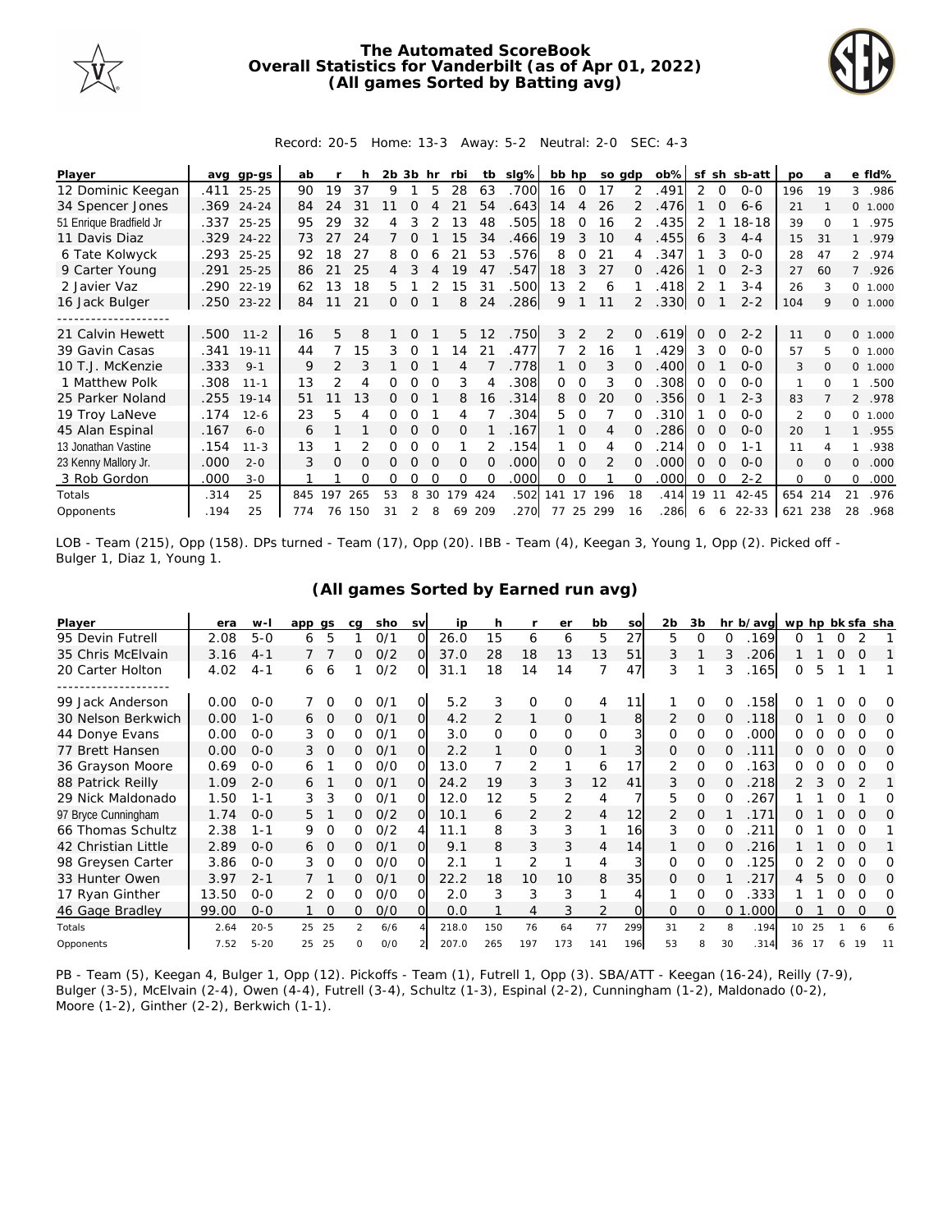

## **The Automated ScoreBook Overall Statistics for Vanderbilt (as of Apr 01, 2022) (All games Sorted by Batting avg)**



Record: 20-5 Home: 13-3 Away: 5-2 Neutral: 2-0 SEC: 4-3

| Player                  |      | avg gp-gs  | ab  |               |     | $2b$ $3b$ hr |          |          | rbi      |          | tb slg% | bb hp          |          |               | so adp       | $ob\%$ | sf       |          | sh sb-att | <b>DO</b>      | a        |                | e fld%  |
|-------------------------|------|------------|-----|---------------|-----|--------------|----------|----------|----------|----------|---------|----------------|----------|---------------|--------------|--------|----------|----------|-----------|----------------|----------|----------------|---------|
| 12 Dominic Keegan       | .411 | $25 - 25$  | 90  | 19            | 37  | 9            |          | 5        | 28       | 63       | .700    | 16             | $\Omega$ | 17            | 2            | .491   | 2        | $\Omega$ | $0 - 0$   | 196            | 19       | 3              | .986    |
| 34 Spencer Jones        | .369 | $24 - 24$  | 84  | 24            | 31  |              |          |          | 21       | 54       | .643    | 14             | 4        | 26            |              | .476   |          | $\Omega$ | $6 - 6$   | 21             |          |                | 0 1.000 |
| 51 Enrique Bradfield Jr | .337 | $25 - 25$  | 95  | 29            | 32  | 4            |          |          | 13       | 48       | 505     | 18             | 0        | 16            | 2            | .435   |          |          | $18 - 18$ | 39             | $\Omega$ |                | .975    |
| 11 Davis Diaz           | .329 | $24 - 22$  | 73  | 27            | 24  |              |          |          | 15       | 34       | .466    | 19             | 3        | 10            | 4            | .455   | 6        | 3        | $4 - 4$   | 15             | 31       |                | .979    |
| 6 Tate Kolwyck          | .293 | $25 - 25$  | 92  | 18            | 27  | 8            | $\Omega$ |          | 21       | 53       | .576    | 8              | O        | 21            | 4            | .347   |          | 3        | $O-O$     | 28             | 47       |                | 2 .974  |
| 9 Carter Young          | .291 | $25 - 25$  | 86  | 21            | 25  | 4            |          |          | 19       | 47       | 547     | 18             | 3        | 27            | 0            | .426   |          |          | $2 - 3$   | 27             | 60       | $\overline{7}$ | .926    |
| 2 Javier Vaz            | .290 | $22 - 19$  | 62  | 13            | 18  | 5            |          |          | 15       | 31       | .500    | 13             | 2        | 6             |              | .418   | 2        |          | $3 - 4$   | 26             | 3        | $\circ$        | 1.000   |
| 16 Jack Bulger          |      | .250 23-22 | 84  | 11            | 21  | $\Omega$     | 0        |          | 8        | 24       | .286    | 9              |          | 11            | 2            | .330   | 0        |          | $2 - 2$   | 104            | 9        |                | 0 1.000 |
|                         |      |            |     |               |     |              |          |          |          |          |         |                |          |               |              |        |          |          |           |                |          |                |         |
| 21 Calvin Hewett        | .500 | $11 - 2$   | 16  | 5             | 8   |              | $\Omega$ |          | 5        | 12       | .750    | 3              | 2        | 2             | $\Omega$     | .619   | $\Omega$ | $\Omega$ | $2 - 2$   | 11             | $\Omega$ |                | 0 1.000 |
| 39 Gavin Casas          | .341 | $19 - 11$  | 44  |               | 15  | 3            | $\Omega$ |          | 14       | 21       | .477    | $\overline{7}$ | 2        | 16            |              | .429   | 3        | ∩        | $O-O$     | 57             | 5        | $\Omega$       | 1.000   |
| 10 T.J. McKenzie        | .333 | $9 - 1$    | 9   | $\mathcal{P}$ | 3   |              | $\Omega$ |          | 4        |          | .778    |                | $\Omega$ | 3             | 0            | .400   | $\Omega$ |          | $0 - 0$   | 3              | $\Omega$ | $\circ$        | 1.000   |
| 1 Matthew Polk          | .308 | $11 - 1$   | 13  | 2             | 4   | 0            | $\Omega$ | $\Omega$ | 3        | 4        | .308    | 0              | $\Omega$ | 3             | 0            | .308   | 0        | O        | $0 - 0$   | 1              | $\Omega$ |                | .500    |
| 25 Parker Noland        | .255 | $19 - 14$  | 51  |               | 13  | 0            | $\Omega$ |          | 8        | 16       | .314    | 8              | $\Omega$ | 20            | 0            | .356   | 0        |          | $2 - 3$   | 83             |          |                | 2 .978  |
| 19 Troy LaNeve          | .174 | $12 - 6$   | 23  | 5             | 4   | Ω            | O        |          | 4        |          | .304    | 5.             | $\Omega$ |               |              | .310   |          |          | $O-O$     | $\overline{2}$ | $\Omega$ | 0              | 1.000   |
| 45 Alan Espinal         | .167 | $6 - 0$    | 6   |               |     | 0            | $\Omega$ | $\Omega$ | 0        |          | .167    |                | $\Omega$ | 4             |              | 286    | $\Omega$ | $\Omega$ | $O-O$     | 20             |          |                | .955    |
| 13 Jonathan Vastine     | .154 | $11 - 3$   | 13  |               |     | Ω            | O        |          |          |          | .154    |                | $\Omega$ | 4             |              | 214    | Ω        | O        | $1 - 1$   | 11             |          |                | .938    |
| 23 Kenny Mallory Jr.    | .000 | $2 - 0$    | 3   | $\Omega$      | O   | Ω            | $\Omega$ | $\Omega$ | $\Omega$ | $\Omega$ | .000    | $\Omega$       | $\Omega$ | $\mathcal{P}$ | <sup>n</sup> | .000   | $\Omega$ | $\Omega$ | $O-O$     | $\mathbf{O}$   | $\Omega$ | $\Omega$       | .000    |
| 3 Rob Gordon            | .000 | $3 - 0$    |     |               | Ω   | Ω            |          |          | O        |          | .000    | 0              | 0        |               |              | .000   | Ω        |          | $2 - 2$   | 0              | $\Omega$ | $\Omega$       | .000    |
| Totals                  | .314 | 25         | 845 | 197           | 265 | 53           | 8        | 30       | 179      | 424      | .502    | 141            | 17       | 196           | 18           | .414   | 19       | 11       | $42 - 45$ | 654            | 214      | 21             | .976    |
| Opponents               | .194 | 25         | 774 | 76            | 150 | 31           | 2        | 8        | 69       | 209      | .270    |                |          | 77 25 299     | 16           | 286    | 6        | 6        | $22 - 33$ | 621            | 238      | 28             | .968    |

LOB - Team (215), Opp (158). DPs turned - Team (17), Opp (20). IBB - Team (4), Keegan 3, Young 1, Opp (2). Picked off - Bulger 1, Diaz 1, Young 1.

| Player              | era   | $W -$    | app gs |          | ca | sho | <b>SV</b>    | ip    | h        |             | er       | bb          | so       | 2 <sub>b</sub> | 3b             |    | hr b/avg | wp hp bk sfa sha |     |          |          |     |
|---------------------|-------|----------|--------|----------|----|-----|--------------|-------|----------|-------------|----------|-------------|----------|----------------|----------------|----|----------|------------------|-----|----------|----------|-----|
| 95 Devin Futrell    | 2.08  | $5 - 0$  | 6      | 5        |    | 0/1 | $\Omega$     | 26.0  | 15       | 6           | 6        | 5           | 27       | 5              | O              | 0  | .169     | 0                |     | 0        | 2        |     |
| 35 Chris McElvain   | 3.16  | $4 - 1$  |        |          | 0  | O/2 | ΩI           | 37.0  | 28       | 18          | 13       | 13          | 51       | 3              |                | 3  | 206      |                  |     |          | O        |     |
| 20 Carter Holton    | 4.02  | $4 - 1$  | 6      | 6        |    | 0/2 | O            | 31.1  | 18       | 14          | 14       | 7           | 47       | 3              |                | 3  | .165     | 0                | 5   |          |          |     |
|                     |       |          |        |          |    |     |              |       |          |             |          |             |          |                |                |    |          |                  |     |          |          |     |
| 99 Jack Anderson    | 0.00  | $O - O$  |        | ∩        | Ω  | 0/1 | O.           | 5.2   | 3        | 0           | $\Omega$ | 4           | 11       |                | O              |    | 158      |                  |     |          |          | O   |
| 30 Nelson Berkwich  | 0.00  | $1 - 0$  | 6      | - 0      | 0  | 0/1 | O.           | 4.2   | 2        | 1           | 0        |             | 8        | 2              | 0              | 0  | .118     | 0                |     | 0        | O        | 0   |
| 44 Donye Evans      | 0.00  | $O - O$  | 3      | $\Omega$ | 0  | 0/1 | O            | 3.0   | $\Omega$ | $\mathbf 0$ | 0        | $\mathbf 0$ |          | 0              | $\Omega$       | 0  | .000     | 0                |     | Ω        | O        | Ω   |
| 77 Brett Hansen     | 0.00  | $O - O$  | 3.     | 0        | 0  | O/1 | OI           | 2.2   |          | 0           | 0        |             | 3        | 0              | 0              | O  | .111     | O                | Ω   | Ω        | 0        | O   |
| 36 Grayson Moore    | 0.69  | $0 - 0$  | 6      |          | 0  | O/O | <sup>O</sup> | 13.0  |          | 2           |          | 6           | 17       | 2              | $\Omega$       |    | .163     | 0                |     |          | O        | Ω   |
| 88 Patrick Reilly   | 1.09  | $2 - 0$  | 6      |          | 0  | 0/1 | $\Omega$     | 24.2  | 19       | 3           | 3        | 12          | 41       | 3              | $\mathbf 0$    |    | 218      |                  |     | $\Omega$ |          |     |
| 29 Nick Maldonado   | 1.50  | $1 - 1$  | 3      | 3        | 0  | 0/1 | ∩            | 12.0  | 12       | 5           | 2        | 4           |          | 5              | $\Omega$       | O  | 267      |                  |     | Ω        |          | Ω   |
| 97 Bryce Cunningham | 1.74  | $O - O$  | 5.     |          | Ω  | O/2 | O.           | 10.1  | 6        | 2           | 2        | 4           | 12       | 2              | 0              |    | .171     | O                |     | O        | $\Omega$ | O   |
| 66 Thomas Schultz   | 2.38  | $1 - 1$  | 9      | $\Omega$ | 0  | O/2 | 4            | 11.1  | 8        | 3           | 3        |             | 16       | 3              | 0              | O  | 211      | O                |     |          | O        |     |
| 42 Christian Little | 2.89  | $O - O$  | 6      | $\Omega$ | 0  | 0/1 | $\Omega$     | 9.1   | 8        | 3           | 3        | 4           | 14       |                | O              |    | 216      |                  |     | $\Omega$ | $\Omega$ |     |
| 98 Greysen Carter   | 3.86  | $O - O$  |        | 0        | 0  | O/O | ΩI           | 2.1   |          | 2           | 1        | 4           | 3        | $\Omega$       | $\Omega$       | 0  | .125     | 0                |     | 0        | 0        | Ω   |
| 33 Hunter Owen      | 3.97  | $2 - 1$  |        |          | 0  | O/1 | $\Omega$     | 22.2  | 18       | 10          | 10       | 8           | 35       | $\Omega$       | $\Omega$       |    | 217      | 4                |     | 0        | $\Omega$ | O   |
| 17 Ryan Ginther     | 13.50 | $0 - 0$  |        | 0        | 0  | 0/0 | ΩI           | 2.0   | 3        | 3           | 3        |             |          |                | $\Omega$       |    | 333      |                  |     |          | O        | Ω   |
| 46 Gage Bradley     | 99.00 | $0 - 0$  |        | $\Omega$ | 0  | O/O | O.           | 0.0   |          | 4           | 3        | 2           | $\Omega$ | $\Omega$       | $\Omega$       | Ω  | .000     | Ω                |     | $\Omega$ | 0        | 0   |
| Totals              | 2.64  | $20 - 5$ | 25     | 25       | 2  | 6/6 |              | 218.0 | 150      | 76          | 64       | 77          | 299      | 31             | $\overline{2}$ | 8  | .194     | 10               | 25  |          | 6        | 6   |
| Opponents           | 7.52  | $5 - 20$ | 25     | 25       | 0  | O/O |              | 207.0 | 265      | 197         | 173      | 141         | 196      | 53             | 8              | 30 | .314     | 36               | -17 | 6        | 19       | -11 |

**(All games Sorted by Earned run avg)**

PB - Team (5), Keegan 4, Bulger 1, Opp (12). Pickoffs - Team (1), Futrell 1, Opp (3). SBA/ATT - Keegan (16-24), Reilly (7-9), Bulger (3-5), McElvain (2-4), Owen (4-4), Futrell (3-4), Schultz (1-3), Espinal (2-2), Cunningham (1-2), Maldonado (0-2), Moore (1-2), Ginther (2-2), Berkwich (1-1).